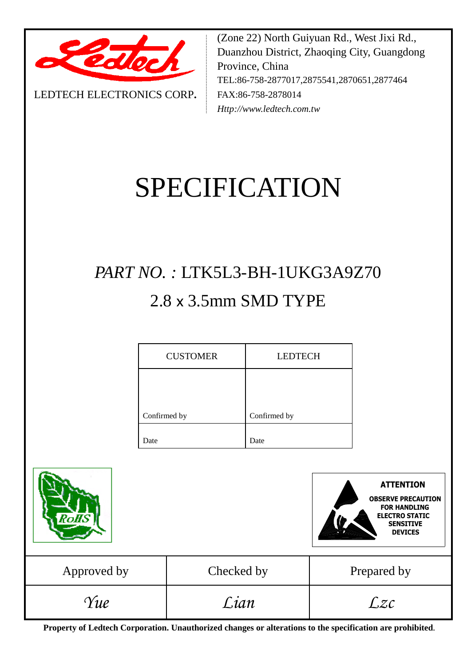

LEDTECH ELECTRONICS CORP**.**

(Zone 22) North Guiyuan Rd., West Jixi Rd., Duanzhou District, Zhaoqing City, Guangdong Province, China TEL:86-758-2877017,2875541,2870651,2877464 FAX:86-758-2878014 *Http://www.ledtech.com.tw*

# SPECIFICATION

## *PART NO. :* LTK5L3-BH-1UKG3A9Z70 2.8 x 3.5mm SMD TYPE

| <b>CUSTOMER</b> | <b>LEDTECH</b> |
|-----------------|----------------|
|                 |                |
| Confirmed by    | Confirmed by   |
|                 |                |
| Date            | Date           |



**Property of Ledtech Corporation. Unauthorized changes or alterations to the specification are prohibited***.*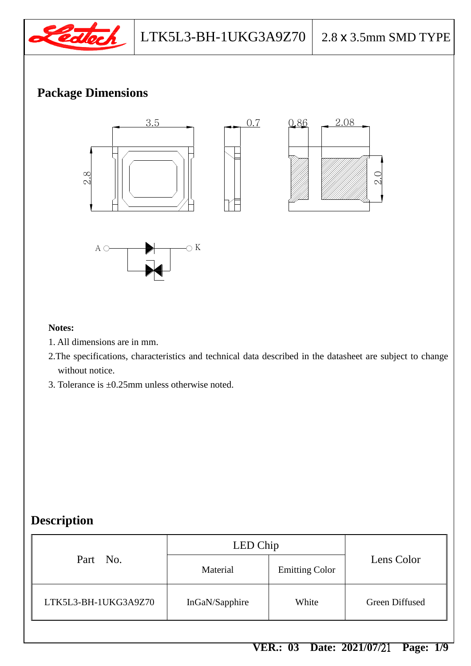

2.08 0.86

## **Package Dimensions**



#### **Notes:**

- 1. All dimensions are in mm.
- 2.The specifications, characteristics and technical data described in the datasheet are subject to change without notice.
- 3. Tolerance is ±0.25mm unless otherwise noted.

## **Description**

|                      | LED Chip       |                       |                |
|----------------------|----------------|-----------------------|----------------|
| Part No.             | Material       | <b>Emitting Color</b> | Lens Color     |
| LTK5L3-BH-1UKG3A9Z70 | InGaN/Sapphire | White                 | Green Diffused |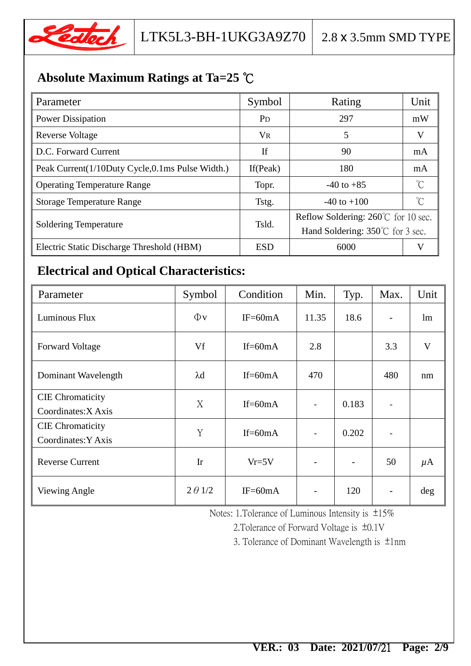

## **Absolute Maximum Ratings at Ta=25** ℃

| Parameter                                       | Symbol         | Rating                                        | Unit         |  |
|-------------------------------------------------|----------------|-----------------------------------------------|--------------|--|
| <b>Power Dissipation</b>                        | P <sub>D</sub> | 297                                           | mW           |  |
| <b>Reverse Voltage</b>                          | <b>VR</b>      | 5                                             | V            |  |
| D.C. Forward Current                            | If             | 90                                            | mA           |  |
| Peak Current(1/10Duty Cycle,0.1ms Pulse Width.) | If $(Peak)$    | 180                                           | mA           |  |
| <b>Operating Temperature Range</b>              | Topr.          | $-40$ to $+85$                                | $^{\circ}$ C |  |
| <b>Storage Temperature Range</b>                | Tstg.          | $-40$ to $+100$                               | $^{\circ}C$  |  |
| <b>Soldering Temperature</b>                    | Tsld.          | Reflow Soldering: $260^{\circ}$ C for 10 sec. |              |  |
|                                                 |                | Hand Soldering: $350^{\circ}$ for 3 sec.      |              |  |
| Electric Static Discharge Threshold (HBM)       | <b>ESD</b>     | 6000                                          |              |  |

## **Electrical and Optical Characteristics:**

| Parameter                                      | Symbol         | Condition  | Min.                     | Typ.  | Max. | Unit                    |
|------------------------------------------------|----------------|------------|--------------------------|-------|------|-------------------------|
| Luminous Flux                                  | $\Phi$ v       | $IF=60mA$  | 11.35                    | 18.6  |      | lm                      |
| <b>Forward Voltage</b>                         | Vf             | $If=60mA$  | 2.8                      |       | 3.3  | $\overline{\mathsf{V}}$ |
| Dominant Wavelength                            | $\lambda$ d    | $If=60mA$  | 470                      |       | 480  | nm                      |
| <b>CIE</b> Chromaticity<br>Coordinates: X Axis | X              | $If=60mA$  | $\blacksquare$           | 0.183 |      |                         |
| <b>CIE</b> Chromaticity<br>Coordinates: Y Axis | Y              | If= $60mA$ | $\blacksquare$           | 0.202 |      |                         |
| <b>Reverse Current</b>                         | Ir             | $Vr=5V$    | $\overline{\phantom{0}}$ |       | 50   | $\mu$ A                 |
| <b>Viewing Angle</b>                           | $2 \theta$ 1/2 | $IF=60mA$  |                          | 120   |      | $\deg$                  |

Notes: 1.Tolerance of Luminous Intensity is ±15%

2.Tolerance of Forward Voltage is ±0.1V

3. Tolerance of Dominant Wavelength is ±1nm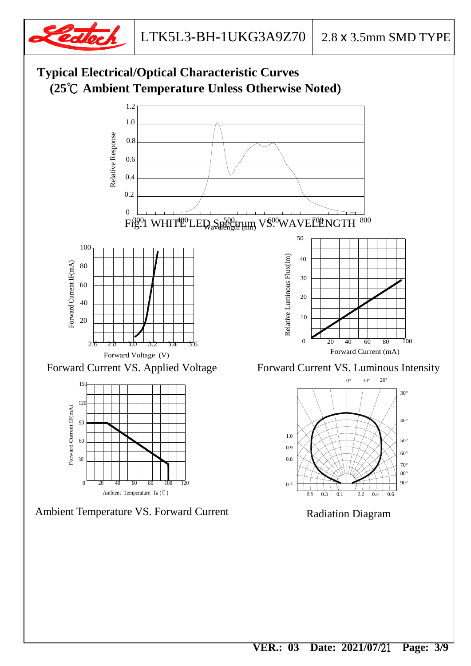

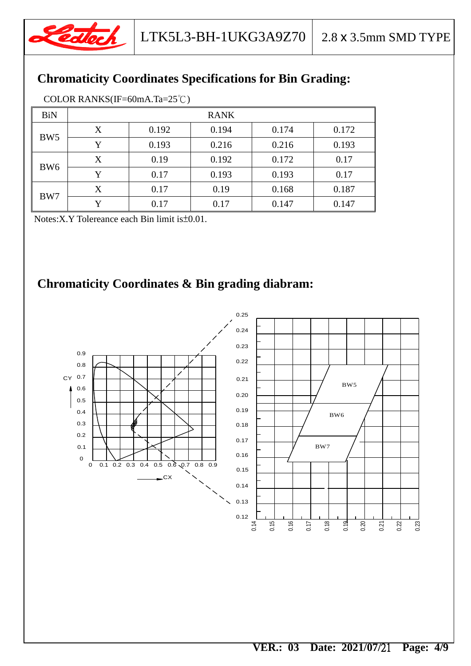![](_page_4_Picture_0.jpeg)

## **Chromaticity Coordinates Specifications for Bin Grading:**

| <b>BiN</b>      | <b>RANK</b> |       |       |       |       |
|-----------------|-------------|-------|-------|-------|-------|
| BW <sub>5</sub> | X           | 0.192 | 0.194 | 0.174 | 0.172 |
|                 | Y           | 0.193 | 0.216 | 0.216 | 0.193 |
| BW <sub>6</sub> | X           | 0.19  | 0.192 | 0.172 | 0.17  |
|                 | Y           | 0.17  | 0.193 | 0.193 | 0.17  |
| BW7             | X           | 0.17  | 0.19  | 0.168 | 0.187 |
|                 | Y           | 0.17  | 0.17  | 0.147 | 0.147 |

Notes:X.Y Tolereance each Bin limit is±0.01.

## **Chromaticity Coordinates & Bin grading diabram:**

![](_page_4_Figure_8.jpeg)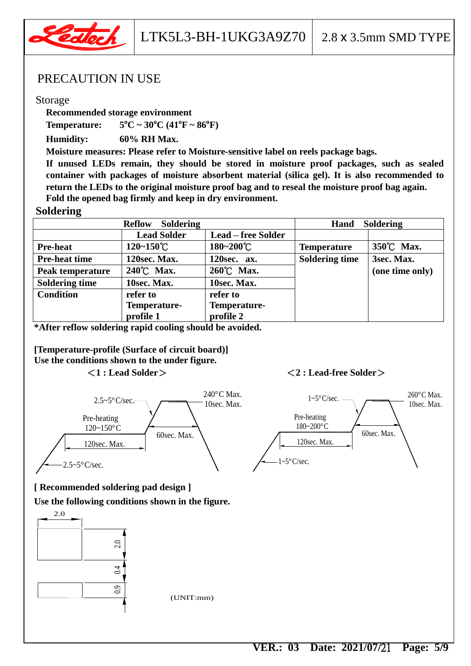![](_page_5_Picture_0.jpeg)

#### PRECAUTION IN USE

#### Storage

**Recommended storage environment**

**Temperature: 5**  ${}^{0}C \sim 30 {}^{0}C (41 {}^{0}F \sim 86 {}^{0}F)$ 

**Humidity: 60% RH Max.**

**Moisture measures: Please refer to Moisture-sensitive label on reels package bags.**

**If unused LEDs remain, they should be stored in moisture proof packages, such as sealed container with packages of moisture absorbent material (silica gel). It is also recommended to return the LEDs to the original moisture proof bag and to reseal the moisture proof bag again. Fold the opened bag firmly and keep in dry environment.**

#### **Soldering**

| <b>Soldering</b><br><b>Reflow</b> |                       |                           | <b>Soldering</b><br>Hand |                 |
|-----------------------------------|-----------------------|---------------------------|--------------------------|-----------------|
|                                   | <b>Lead Solder</b>    | <b>Lead – free Solder</b> |                          |                 |
| <b>Pre-heat</b>                   | $120 - 150^{\circ}$ C | 180~200°C                 | <b>Temperature</b>       | 350°C Max.      |
| <b>Pre-heat time</b>              | 120sec. Max.          | 120sec. ax.               | <b>Soldering time</b>    | 3sec. Max.      |
| Peak temperature                  | 240°C Max.            | 260℃ Max.                 |                          | (one time only) |
| <b>Soldering time</b>             | 10sec. Max.           | 10sec. Max.               |                          |                 |
| <b>Condition</b>                  | refer to              | refer to                  |                          |                 |
|                                   | Temperature-          | Temperature-              |                          |                 |
|                                   | profile 1             | profile 2                 |                          |                 |

 **\*After reflow soldering rapid cooling should be avoided.**

 **[Temperature-profile (Surface of circuit board)] Use the conditions shown to the under figure.**

#### <**1 : Lead Solder**><**2 : Lead-free Solder**>

![](_page_5_Figure_14.jpeg)

![](_page_5_Figure_15.jpeg)

## **[ Recommended soldering pad design ]**

**Use the following conditions shown in the figure.**

![](_page_5_Figure_18.jpeg)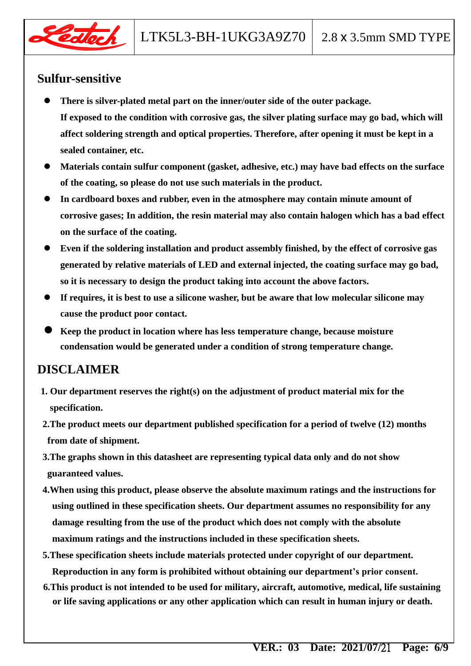![](_page_6_Picture_0.jpeg)

## **Sulfur-sensitive**

- **There is silver-plated metal part on the inner/outer side of the outer package. If exposed to the condition with corrosive gas, the silver plating surface may go bad, which will affect soldering strength and optical properties. Therefore, after opening it must be kept in a sealed container, etc.**
- **Materials contain sulfur component (gasket, adhesive, etc.) may have bad effects on the surface of the coating, so please do not use such materials in the product.**
- **In cardboard boxes and rubber, even in the atmosphere may contain minute amount of corrosive gases; In addition, the resin material may also contain halogen which has a bad effect on the surface of the coating.**
- **Even if the soldering installation and product assembly finished, by the effect of corrosive gas generated by relative materials of LED and external injected, the coating surface may go bad, so it is necessary to design the product taking into account the above factors.**
- **If requires, it is best to use a silicone washer, but be aware that low molecular silicone may cause the product poor contact.**
- **Keep the product in location where has less temperature change, because moisture condensation would be generated under a condition of strong temperature change.**

## **DISCLAIMER**

- **1. Our department reserves the right(s) on the adjustment of product material mix for the specification.**
- **2.The product meets our department published specification for a period of twelve (12) months from date of shipment.**
- **3.The graphs shown in this datasheet are representing typical data only and do not show guaranteed values.**
- **4.When using this product, please observe the absolute maximum ratings and the instructions for using outlined in these specification sheets. Our department assumes no responsibility for any damage resulting from the use of the product which does not comply with the absolute maximum ratings and the instructions included in these specification sheets.**
- **5.These specification sheets include materials protected under copyright of our department. Reproduction in any form is prohibited without obtaining our department's prior consent.**
- **6.This product is not intended to be used for military, aircraft, automotive, medical, life sustaining or life saving applications or any other application which can result in human injury or death.**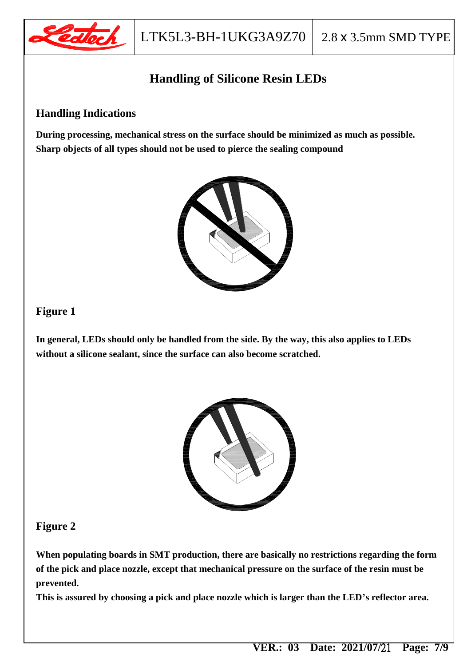![](_page_7_Picture_0.jpeg)

## **Handling of Silicone Resin LEDs**

#### **Handling Indications**

**During processing, mechanical stress on the surface should be minimized as much as possible. Sharp objects of all types should not be used to pierce the sealing compound**

![](_page_7_Picture_6.jpeg)

#### **Figure 1**

**In general, LEDs should only be handled from the side. By the way, this also applies to LEDs without a silicone sealant, since the surface can also become scratched.**

![](_page_7_Picture_9.jpeg)

#### **Figure 2**

**When populating boards in SMT production, there are basically no restrictions regarding the form of the pick and place nozzle, except that mechanical pressure on the surface of the resin must be prevented.**

**This is assured by choosing a pick and place nozzle which is larger than the LED's reflector area.**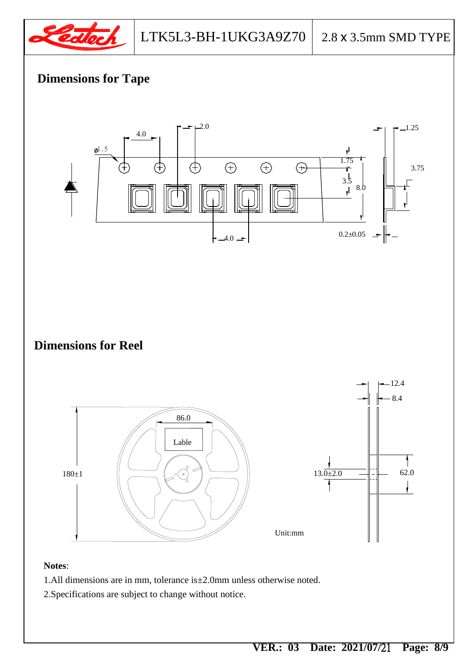![](_page_8_Picture_0.jpeg)

## **Dimensions for Tape**

![](_page_8_Figure_4.jpeg)

- 1.All dimensions are in mm, tolerance is±2.0mm unless otherwise noted.
- 2.Specifications are subject to change without notice.